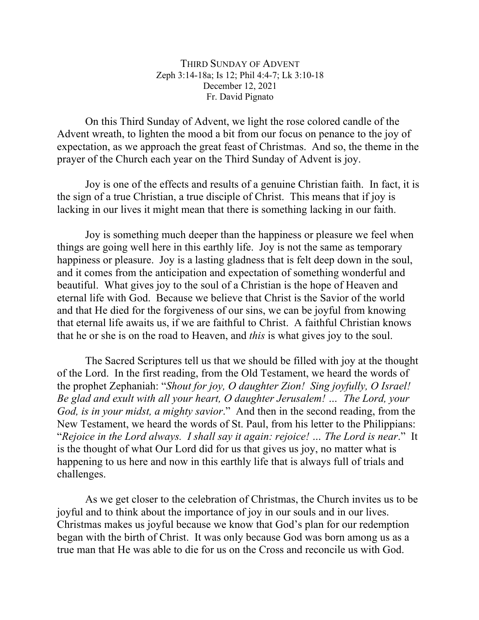## THIRD SUNDAY OF ADVENT Zeph 3:14-18a; Is 12; Phil 4:4-7; Lk 3:10-18 December 12, 2021 Fr. David Pignato

On this Third Sunday of Advent, we light the rose colored candle of the Advent wreath, to lighten the mood a bit from our focus on penance to the joy of expectation, as we approach the great feast of Christmas. And so, the theme in the prayer of the Church each year on the Third Sunday of Advent is joy.

Joy is one of the effects and results of a genuine Christian faith. In fact, it is the sign of a true Christian, a true disciple of Christ. This means that if joy is lacking in our lives it might mean that there is something lacking in our faith.

Joy is something much deeper than the happiness or pleasure we feel when things are going well here in this earthly life. Joy is not the same as temporary happiness or pleasure. Joy is a lasting gladness that is felt deep down in the soul, and it comes from the anticipation and expectation of something wonderful and beautiful. What gives joy to the soul of a Christian is the hope of Heaven and eternal life with God. Because we believe that Christ is the Savior of the world and that He died for the forgiveness of our sins, we can be joyful from knowing that eternal life awaits us, if we are faithful to Christ. A faithful Christian knows that he or she is on the road to Heaven, and *this* is what gives joy to the soul.

The Sacred Scriptures tell us that we should be filled with joy at the thought of the Lord. In the first reading, from the Old Testament, we heard the words of the prophet Zephaniah: "*Shout for joy, O daughter Zion! Sing joyfully, O Israel! Be glad and exult with all your heart, O daughter Jerusalem! … The Lord, your God, is in your midst, a mighty savior*." And then in the second reading, from the New Testament, we heard the words of St. Paul, from his letter to the Philippians: "*Rejoice in the Lord always. I shall say it again: rejoice! … The Lord is near*." It is the thought of what Our Lord did for us that gives us joy, no matter what is happening to us here and now in this earthly life that is always full of trials and challenges.

As we get closer to the celebration of Christmas, the Church invites us to be joyful and to think about the importance of joy in our souls and in our lives. Christmas makes us joyful because we know that God's plan for our redemption began with the birth of Christ. It was only because God was born among us as a true man that He was able to die for us on the Cross and reconcile us with God.